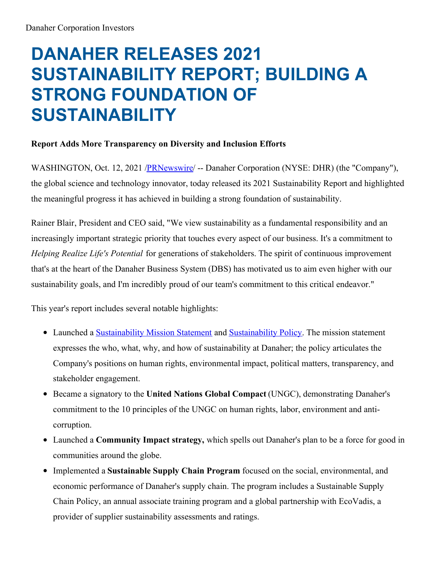# **DANAHER RELEASES 2021 SUSTAINABILITY REPORT; BUILDING A STRONG FOUNDATION OF SUSTAINABILITY**

# **Report Adds More Transparency on Diversity and Inclusion Efforts**

WASHINGTON, Oct. 12, 2021 /**PRNewswire/** -- Danaher Corporation (NYSE: DHR) (the "Company"), the global science and technology innovator, today released its 2021 Sustainability Report and highlighted the meaningful progress it has achieved in building a strong foundation of sustainability.

Rainer Blair, President and CEO said, "We view sustainability as a fundamental responsibility and an increasingly important strategic priority that touches every aspect of our business. It's a commitment to *Helping Realize Life's Potential* for generations of stakeholders. The spirit of continuous improvement that's at the heart of the Danaher Business System (DBS) has motivated us to aim even higher with our sustainability goals, and I'm incredibly proud of our team's commitment to this critical endeavor."

This year's report includes several notable highlights:

- Launched a [Sustainability](https://c212.net/c/link/?t=0&l=en&o=3320581-1&h=2679742637&u=http%3A%2F%2Finvestors.danaher.com%2Fimage%2FDanaher%2BSustainability%2BPolicy%2B2021.pdf&a=Sustainability+Policy) Mission Statement and Sustainability Policy. The mission statement expresses the who, what, why, and how of sustainability at Danaher; the policy articulates the Company's positions on human rights, environmental impact, political matters, transparency, and stakeholder engagement.
- Became a signatory to the **United Nations Global Compact** (UNGC), demonstrating Danaher's commitment to the 10 principles of the UNGC on human rights, labor, environment and anticorruption.
- Launched a **Community Impact strategy,** which spells out Danaher's plan to be a force for good in communities around the globe.
- Implemented a **Sustainable Supply Chain Program** focused on the social, environmental, and economic performance of Danaher's supply chain. The program includes a Sustainable Supply Chain Policy, an annual associate training program and a global partnership with EcoVadis, a provider of supplier sustainability assessments and ratings.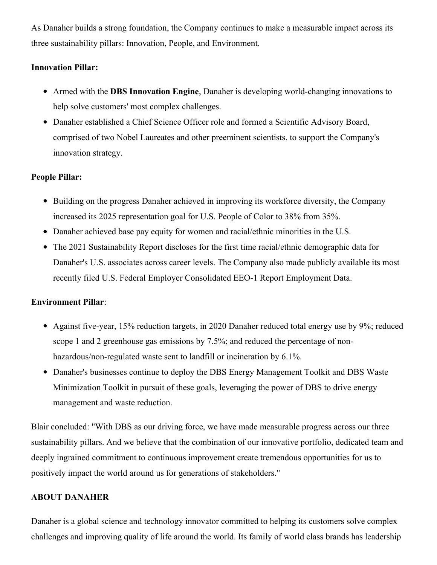As Danaher builds a strong foundation, the Company continues to make a measurable impact across its three sustainability pillars: Innovation, People, and Environment.

# **Innovation Pillar:**

- Armed with the **DBS Innovation Engine**, Danaher is developing world-changing innovations to help solve customers' most complex challenges.
- Danaher established a Chief Science Officer role and formed a Scientific Advisory Board, comprised of two Nobel Laureates and other preeminent scientists, to support the Company's innovation strategy.

# **People Pillar:**

- Building on the progress Danaher achieved in improving its workforce diversity, the Company increased its 2025 representation goal for U.S. People of Color to 38% from 35%.
- Danaher achieved base pay equity for women and racial/ethnic minorities in the U.S.
- The 2021 Sustainability Report discloses for the first time racial/ethnic demographic data for Danaher's U.S. associates across career levels. The Company also made publicly available its most recently filed U.S. Federal Employer Consolidated EEO-1 Report Employment Data.

#### **Environment Pillar**:

- Against five-year, 15% reduction targets, in 2020 Danaher reduced total energy use by 9%; reduced scope 1 and 2 greenhouse gas emissions by 7.5%; and reduced the percentage of nonhazardous/non-regulated waste sent to landfill or incineration by 6.1%.
- Danaher's businesses continue to deploy the DBS Energy Management Toolkit and DBS Waste Minimization Toolkit in pursuit of these goals, leveraging the power of DBS to drive energy management and waste reduction.

Blair concluded: "With DBS as our driving force, we have made measurable progress across our three sustainability pillars. And we believe that the combination of our innovative portfolio, dedicated team and deeply ingrained commitment to continuous improvement create tremendous opportunities for us to positively impact the world around us for generations of stakeholders."

#### **ABOUT DANAHER**

Danaher is a global science and technology innovator committed to helping its customers solve complex challenges and improving quality of life around the world. Its family of world class brands has leadership